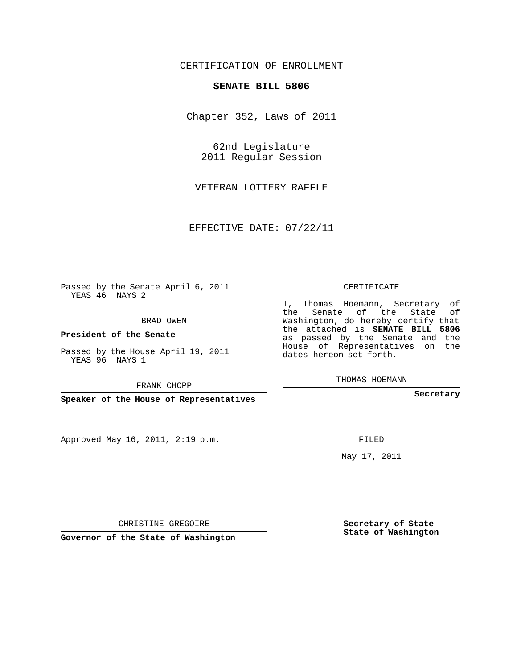## CERTIFICATION OF ENROLLMENT

## **SENATE BILL 5806**

Chapter 352, Laws of 2011

62nd Legislature 2011 Regular Session

VETERAN LOTTERY RAFFLE

EFFECTIVE DATE: 07/22/11

Passed by the Senate April 6, 2011 YEAS 46 NAYS 2

BRAD OWEN

**President of the Senate**

Passed by the House April 19, 2011 YEAS 96 NAYS 1

FRANK CHOPP

**Speaker of the House of Representatives**

Approved May 16, 2011, 2:19 p.m.

CERTIFICATE

I, Thomas Hoemann, Secretary of the Senate of the State of Washington, do hereby certify that the attached is **SENATE BILL 5806** as passed by the Senate and the House of Representatives on the dates hereon set forth.

THOMAS HOEMANN

**Secretary**

FILED

May 17, 2011

**Secretary of State State of Washington**

CHRISTINE GREGOIRE

**Governor of the State of Washington**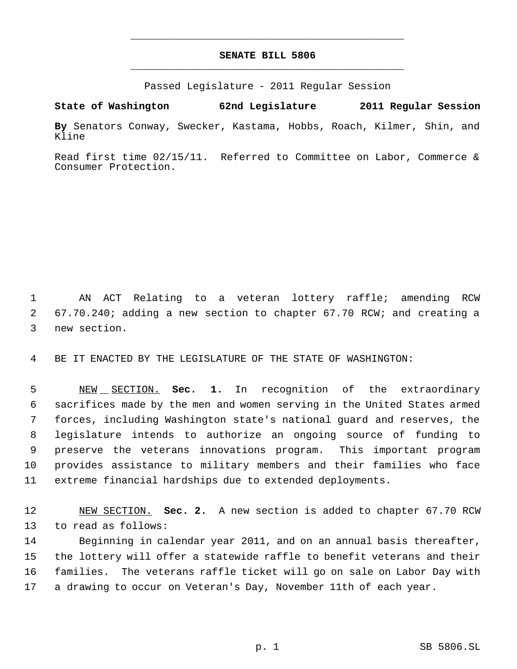## **SENATE BILL 5806** \_\_\_\_\_\_\_\_\_\_\_\_\_\_\_\_\_\_\_\_\_\_\_\_\_\_\_\_\_\_\_\_\_\_\_\_\_\_\_\_\_\_\_\_\_

\_\_\_\_\_\_\_\_\_\_\_\_\_\_\_\_\_\_\_\_\_\_\_\_\_\_\_\_\_\_\_\_\_\_\_\_\_\_\_\_\_\_\_\_\_

Passed Legislature - 2011 Regular Session

**State of Washington 62nd Legislature 2011 Regular Session**

**By** Senators Conway, Swecker, Kastama, Hobbs, Roach, Kilmer, Shin, and Kline

Read first time 02/15/11. Referred to Committee on Labor, Commerce & Consumer Protection.

 AN ACT Relating to a veteran lottery raffle; amending RCW 67.70.240; adding a new section to chapter 67.70 RCW; and creating a new section.

BE IT ENACTED BY THE LEGISLATURE OF THE STATE OF WASHINGTON:

 NEW SECTION. **Sec. 1.** In recognition of the extraordinary sacrifices made by the men and women serving in the United States armed forces, including Washington state's national guard and reserves, the legislature intends to authorize an ongoing source of funding to preserve the veterans innovations program. This important program provides assistance to military members and their families who face extreme financial hardships due to extended deployments.

 NEW SECTION. **Sec. 2.** A new section is added to chapter 67.70 RCW to read as follows:

 Beginning in calendar year 2011, and on an annual basis thereafter, the lottery will offer a statewide raffle to benefit veterans and their families. The veterans raffle ticket will go on sale on Labor Day with a drawing to occur on Veteran's Day, November 11th of each year.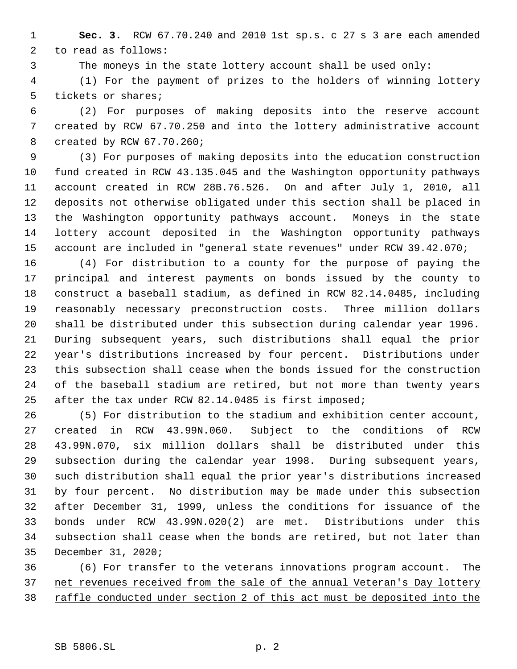**Sec. 3.** RCW 67.70.240 and 2010 1st sp.s. c 27 s 3 are each amended to read as follows:

The moneys in the state lottery account shall be used only:

 (1) For the payment of prizes to the holders of winning lottery tickets or shares;

 (2) For purposes of making deposits into the reserve account created by RCW 67.70.250 and into the lottery administrative account created by RCW 67.70.260;

 (3) For purposes of making deposits into the education construction fund created in RCW 43.135.045 and the Washington opportunity pathways account created in RCW 28B.76.526. On and after July 1, 2010, all deposits not otherwise obligated under this section shall be placed in the Washington opportunity pathways account. Moneys in the state lottery account deposited in the Washington opportunity pathways account are included in "general state revenues" under RCW 39.42.070;

 (4) For distribution to a county for the purpose of paying the principal and interest payments on bonds issued by the county to construct a baseball stadium, as defined in RCW 82.14.0485, including reasonably necessary preconstruction costs. Three million dollars shall be distributed under this subsection during calendar year 1996. During subsequent years, such distributions shall equal the prior year's distributions increased by four percent. Distributions under this subsection shall cease when the bonds issued for the construction of the baseball stadium are retired, but not more than twenty years after the tax under RCW 82.14.0485 is first imposed;

 (5) For distribution to the stadium and exhibition center account, created in RCW 43.99N.060. Subject to the conditions of RCW 43.99N.070, six million dollars shall be distributed under this subsection during the calendar year 1998. During subsequent years, such distribution shall equal the prior year's distributions increased by four percent. No distribution may be made under this subsection after December 31, 1999, unless the conditions for issuance of the bonds under RCW 43.99N.020(2) are met. Distributions under this subsection shall cease when the bonds are retired, but not later than December 31, 2020;

 (6) For transfer to the veterans innovations program account. The 37 net revenues received from the sale of the annual Veteran's Day lottery 38 raffle conducted under section 2 of this act must be deposited into the